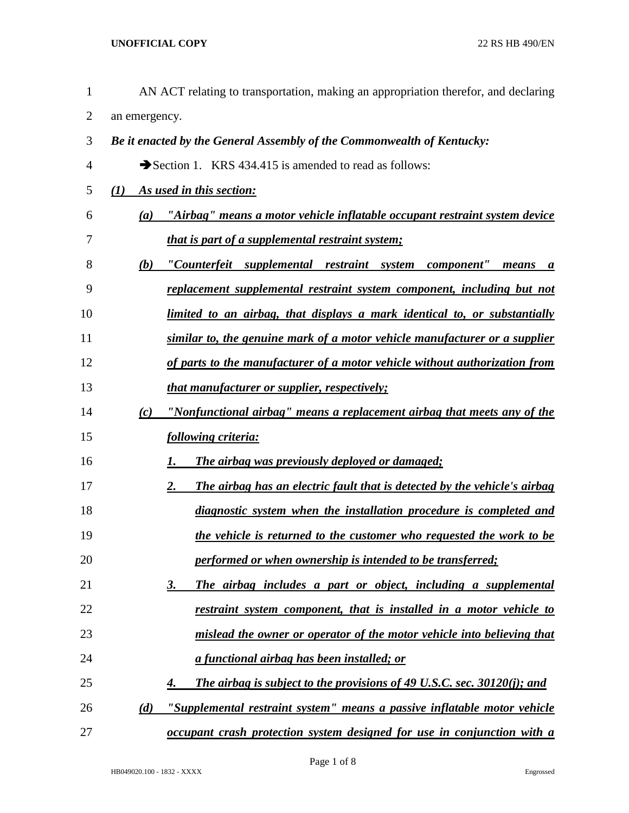| 1              | AN ACT relating to transportation, making an appropriation therefor, and declaring |
|----------------|------------------------------------------------------------------------------------|
| $\overline{2}$ | an emergency.                                                                      |
| 3              | Be it enacted by the General Assembly of the Commonwealth of Kentucky:             |
| $\overline{4}$ | Section 1. KRS 434.415 is amended to read as follows:                              |
| 5              | As used in this section:<br>(I)                                                    |
| 6              | (a) "Airbag" means a motor vehicle inflatable occupant restraint system device     |
| 7              | <i>that is part of a supplemental restraint system;</i>                            |
| 8              | "Counterfeit supplemental restraint system component" means a<br>(b)               |
| 9              | replacement supplemental restraint system component, including but not             |
| 10             | limited to an airbag, that displays a mark identical to, or substantially          |
| 11             | similar to, the genuine mark of a motor vehicle manufacturer or a supplier         |
| 12             | of parts to the manufacturer of a motor vehicle without authorization from         |
| 13             | that manufacturer or supplier, respectively;                                       |
| 14             | "Nonfunctional airbag" means a replacement airbag that meets any of the<br>(c)     |
| 15             | following criteria:                                                                |
| 16             | The airbag was previously deployed or damaged;<br>1.                               |
| 17             | The airbag has an electric fault that is detected by the vehicle's airbag<br>2.    |
| 18             | diagnostic system when the installation procedure is completed and                 |
| 19             | the vehicle is returned to the customer who requested the work to be               |
| 20             | performed or when ownership is intended to be transferred;                         |
| 21             | The airbag includes a part or object, including a supplemental<br><u>3.</u>        |
| 22             | restraint system component, that is installed in a motor vehicle to                |
| 23             | mislead the owner or operator of the motor vehicle into believing that             |
| 24             | a functional airbag has been installed; or                                         |
| 25             | The airbag is subject to the provisions of 49 U.S.C. sec. 30120(j); and<br>4.      |
| 26             | "Supplemental restraint system" means a passive inflatable motor vehicle<br>(d)    |

*occupant crash protection system designed for use in conjunction with a*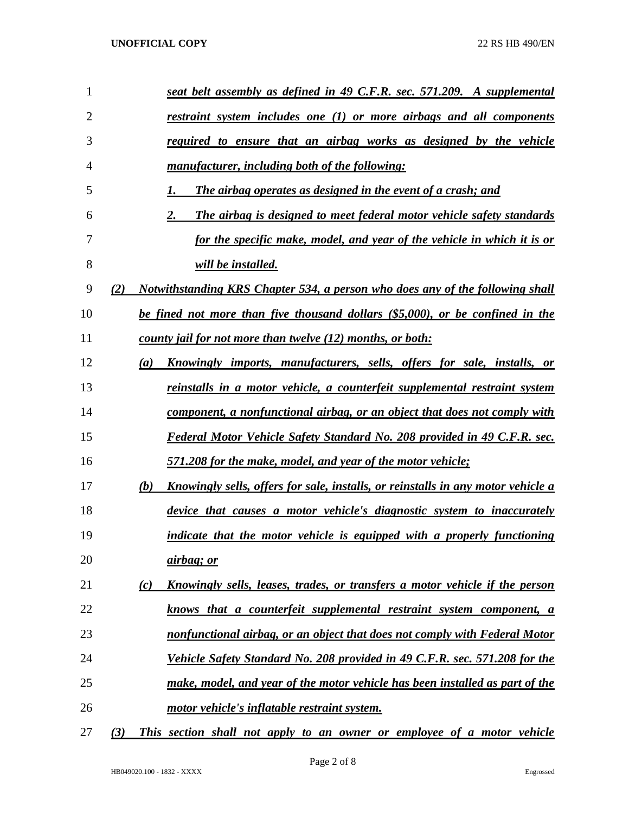| 1              | seat belt assembly as defined in 49 C.F.R. sec. 571.209. A supplemental                   |
|----------------|-------------------------------------------------------------------------------------------|
| $\overline{2}$ | restraint system includes one (1) or more airbags and all components                      |
| 3              | required to ensure that an airbag works as designed by the vehicle                        |
| 4              | manufacturer, including both of the following:                                            |
| 5              | The airbag operates as designed in the event of a crash; and<br>1.                        |
| 6              | 2.<br>The airbag is designed to meet federal motor vehicle safety standards               |
| 7              | for the specific make, model, and year of the vehicle in which it is or                   |
| 8              | <i>will be installed.</i>                                                                 |
| 9              | Notwithstanding KRS Chapter 534, a person who does any of the following shall<br>(2)      |
| 10             | be fined not more than five thousand dollars (\$5,000), or be confined in the             |
| 11             | county jail for not more than twelve (12) months, or both:                                |
| 12             | Knowingly imports, manufacturers, sells, offers for sale, installs, or<br>(a)             |
| 13             | reinstalls in a motor vehicle, a counterfeit supplemental restraint system                |
| 14             | component, a nonfunctional airbag, or an object that does not comply with                 |
| 15             | Federal Motor Vehicle Safety Standard No. 208 provided in 49 C.F.R. sec.                  |
| 16             | 571.208 for the make, model, and year of the motor vehicle;                               |
| 17             | (b)<br>Knowingly sells, offers for sale, installs, or reinstalls in any motor vehicle a   |
| 18             | device that causes a motor vehicle's diagnostic system to inaccurately                    |
| 19             | indicate that the motor vehicle is equipped with a properly functioning                   |
| 20             | <u>airbag; or</u>                                                                         |
| 21             | <u>Knowingly sells, leases, trades, or transfers a motor vehicle if the person</u><br>(c) |
| 22             | knows that a counterfeit supplemental restraint system component, a                       |
| 23             | nonfunctional airbag, or an object that does not comply with Federal Motor                |
| 24             | Vehicle Safety Standard No. 208 provided in 49 C.F.R. sec. 571.208 for the                |
| 25             | make, model, and year of the motor vehicle has been installed as part of the              |
| 26             | motor vehicle's inflatable restraint system.                                              |
| 27             | This section shall not apply to an owner or employee of a motor vehicle<br>(3)            |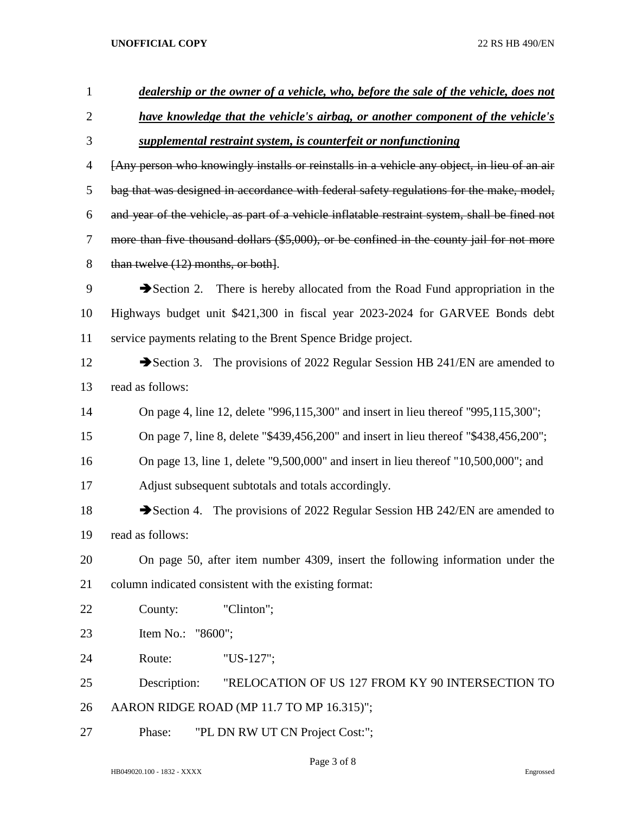| $\mathbf{1}$   | dealership or the owner of a vehicle, who, before the sale of the vehicle, does not           |
|----------------|-----------------------------------------------------------------------------------------------|
| $\overline{2}$ | <u>have knowledge that the vehicle's airbag, or another component of the vehicle's</u>        |
| 3              | supplemental restraint system, is counterfeit or nonfunctioning                               |
| 4              | [Any person who knowingly installs or reinstalls in a vehicle any object, in lieu of an air   |
| 5              | bag that was designed in accordance with federal safety regulations for the make, model,      |
| 6              | and year of the vehicle, as part of a vehicle inflatable restraint system, shall be fined not |
| 7              | more than five thousand dollars (\$5,000), or be confined in the county jail for not more     |
| 8              | than twelve $(12)$ months, or both.                                                           |
| 9              | Section 2. There is hereby allocated from the Road Fund appropriation in the                  |
| 10             | Highways budget unit \$421,300 in fiscal year 2023-2024 for GARVEE Bonds debt                 |
| 11             | service payments relating to the Brent Spence Bridge project.                                 |
| 12             | Section 3. The provisions of 2022 Regular Session HB 241/EN are amended to                    |
| 13             | read as follows:                                                                              |
| 14             | On page 4, line 12, delete "996,115,300" and insert in lieu thereof "995,115,300";            |
| 15             | On page 7, line 8, delete "\$439,456,200" and insert in lieu thereof "\$438,456,200";         |
| 16             | On page 13, line 1, delete "9,500,000" and insert in lieu thereof "10,500,000"; and           |
| 17             | Adjust subsequent subtotals and totals accordingly.                                           |
| 18             | Section 4. The provisions of 2022 Regular Session HB 242/EN are amended to                    |
| 19             | read as follows:                                                                              |
| 20             | On page 50, after item number 4309, insert the following information under the                |
| 21             | column indicated consistent with the existing format:                                         |
| 22             | "Clinton";<br>County:                                                                         |
| 23             | Item No.: "8600";                                                                             |
| 24             | Route:<br>"US-127";                                                                           |
| 25             | Description:<br>"RELOCATION OF US 127 FROM KY 90 INTERSECTION TO                              |
| 26             | AARON RIDGE ROAD (MP 11.7 TO MP 16.315)";                                                     |
| 27             | "PL DN RW UT CN Project Cost:";<br>Phase:                                                     |

Page 3 of 8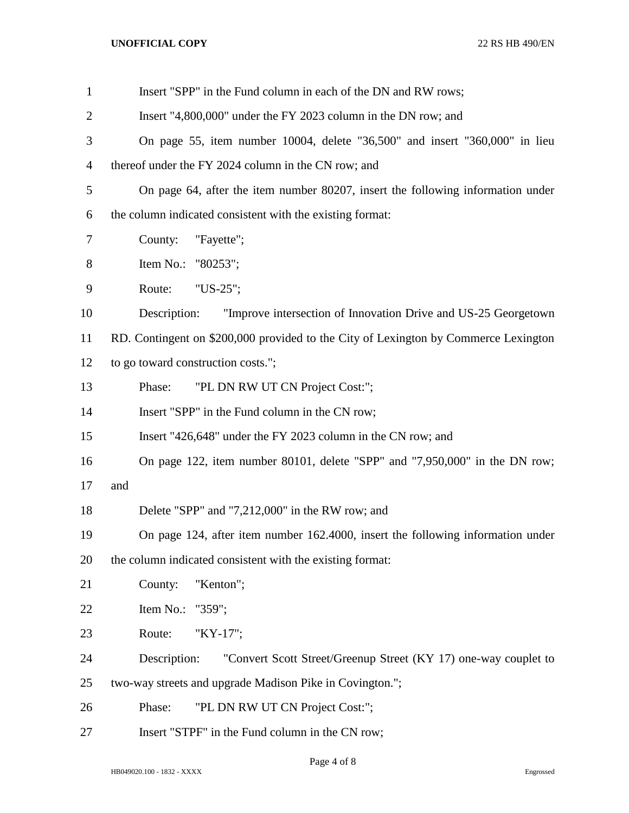| $\mathbf{1}$   | Insert "SPP" in the Fund column in each of the DN and RW rows;                      |
|----------------|-------------------------------------------------------------------------------------|
| $\overline{2}$ | Insert "4,800,000" under the FY 2023 column in the DN row; and                      |
| 3              | On page 55, item number 10004, delete "36,500" and insert "360,000" in lieu         |
| 4              | thereof under the FY 2024 column in the CN row; and                                 |
| 5              | On page 64, after the item number 80207, insert the following information under     |
| 6              | the column indicated consistent with the existing format:                           |
| 7              | "Fayette";<br>County:                                                               |
| 8              | Item No.: "80253";                                                                  |
| 9              | "US-25";<br>Route:                                                                  |
| 10             | Description:<br>"Improve intersection of Innovation Drive and US-25 Georgetown      |
| 11             | RD. Contingent on \$200,000 provided to the City of Lexington by Commerce Lexington |
| 12             | to go toward construction costs.";                                                  |
| 13             | "PL DN RW UT CN Project Cost:";<br>Phase:                                           |
| 14             | Insert "SPP" in the Fund column in the CN row;                                      |
| 15             | Insert "426,648" under the FY 2023 column in the CN row; and                        |
| 16             | On page 122, item number 80101, delete "SPP" and "7,950,000" in the DN row;         |
| 17             | and                                                                                 |
| 18             | Delete "SPP" and "7,212,000" in the RW row; and                                     |
| 19             | On page 124, after item number 162.4000, insert the following information under     |
| 20             | the column indicated consistent with the existing format:                           |
| 21             | "Kenton";<br>County:                                                                |
| 22             | Item No.:<br>"359";                                                                 |
| 23             | Route:<br>"KY-17";                                                                  |
| 24             | Description:<br>"Convert Scott Street/Greenup Street (KY 17) one-way couplet to     |
| 25             | two-way streets and upgrade Madison Pike in Covington.";                            |
| 26             | "PL DN RW UT CN Project Cost:";<br>Phase:                                           |
| 27             | Insert "STPF" in the Fund column in the CN row;                                     |

Page 4 of 8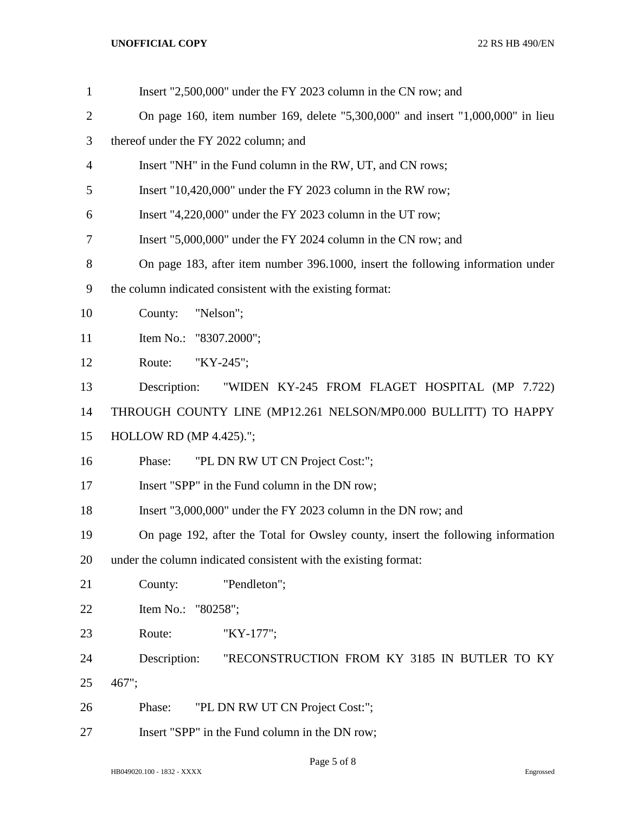| $\mathbf{1}$   | Insert "2,500,000" under the FY 2023 column in the CN row; and                   |
|----------------|----------------------------------------------------------------------------------|
| $\overline{2}$ | On page 160, item number 169, delete "5,300,000" and insert "1,000,000" in lieu  |
| 3              | thereof under the FY 2022 column; and                                            |
| $\overline{4}$ | Insert "NH" in the Fund column in the RW, UT, and CN rows;                       |
| 5              | Insert "10,420,000" under the FY 2023 column in the RW row;                      |
| 6              | Insert "4,220,000" under the FY 2023 column in the UT row;                       |
| 7              | Insert "5,000,000" under the FY 2024 column in the CN row; and                   |
| 8              | On page 183, after item number 396.1000, insert the following information under  |
| 9              | the column indicated consistent with the existing format:                        |
| 10             | County:<br>"Nelson";                                                             |
| 11             | Item No.: "8307.2000";                                                           |
| 12             | "KY-245";<br>Route:                                                              |
| 13             | "WIDEN KY-245 FROM FLAGET HOSPITAL (MP 7.722)<br>Description:                    |
| 14             | THROUGH COUNTY LINE (MP12.261 NELSON/MP0.000 BULLITT) TO HAPPY                   |
| 15             | <b>HOLLOW RD (MP 4.425).";</b>                                                   |
| 16             | "PL DN RW UT CN Project Cost:";<br>Phase:                                        |
| 17             | Insert "SPP" in the Fund column in the DN row;                                   |
| 18             | Insert "3,000,000" under the FY 2023 column in the DN row; and                   |
| 19             | On page 192, after the Total for Owsley county, insert the following information |
| 20             | under the column indicated consistent with the existing format:                  |
| 21             | County:<br>"Pendleton";                                                          |
| 22             | Item No.: "80258";                                                               |
| 23             | Route:<br>"KY-177";                                                              |
| 24             | Description:<br>"RECONSTRUCTION FROM KY 3185 IN BUTLER TO KY                     |
| 25             | 467";                                                                            |
| 26             | "PL DN RW UT CN Project Cost:";<br>Phase:                                        |
| 27             | Insert "SPP" in the Fund column in the DN row;                                   |

Page 5 of 8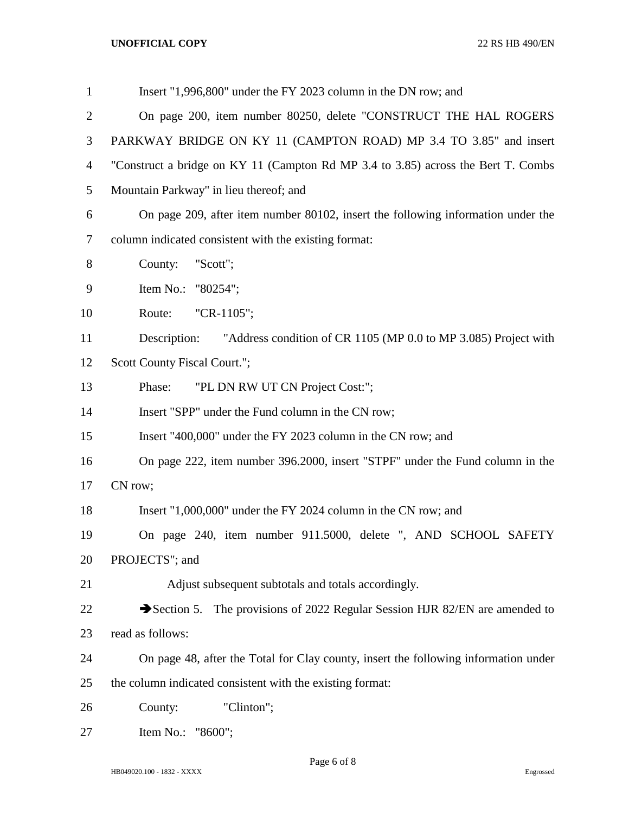| $\mathbf{1}$   | Insert "1,996,800" under the FY 2023 column in the DN row; and                      |
|----------------|-------------------------------------------------------------------------------------|
| 2              | On page 200, item number 80250, delete "CONSTRUCT THE HAL ROGERS                    |
| 3              | PARKWAY BRIDGE ON KY 11 (CAMPTON ROAD) MP 3.4 TO 3.85" and insert                   |
| $\overline{4}$ | "Construct a bridge on KY 11 (Campton Rd MP 3.4 to 3.85) across the Bert T. Combs   |
| 5              | Mountain Parkway" in lieu thereof; and                                              |
| 6              | On page 209, after item number 80102, insert the following information under the    |
| 7              | column indicated consistent with the existing format:                               |
| 8              | County:<br>"Scott";                                                                 |
| 9              | Item No.: "80254";                                                                  |
| 10             | Route:<br>"CR-1105";                                                                |
| 11             | "Address condition of CR 1105 (MP 0.0 to MP 3.085) Project with<br>Description:     |
| 12             | Scott County Fiscal Court.";                                                        |
| 13             | "PL DN RW UT CN Project Cost:";<br>Phase:                                           |
| 14             | Insert "SPP" under the Fund column in the CN row;                                   |
| 15             | Insert "400,000" under the FY 2023 column in the CN row; and                        |
| 16             | On page 222, item number 396.2000, insert "STPF" under the Fund column in the       |
| 17             | CN row;                                                                             |
| 18             | Insert "1,000,000" under the FY 2024 column in the CN row; and                      |
| 19             | On page 240, item number 911.5000, delete ", AND SCHOOL SAFETY                      |
| 20             | PROJECTS"; and                                                                      |
| 21             | Adjust subsequent subtotals and totals accordingly.                                 |
| 22             | Section 5. The provisions of 2022 Regular Session HJR 82/EN are amended to          |
| 23             | read as follows:                                                                    |
| 24             | On page 48, after the Total for Clay county, insert the following information under |
| 25             | the column indicated consistent with the existing format:                           |
| 26             | "Clinton";<br>County:                                                               |
| 27             | Item No.: "8600";                                                                   |

Page 6 of 8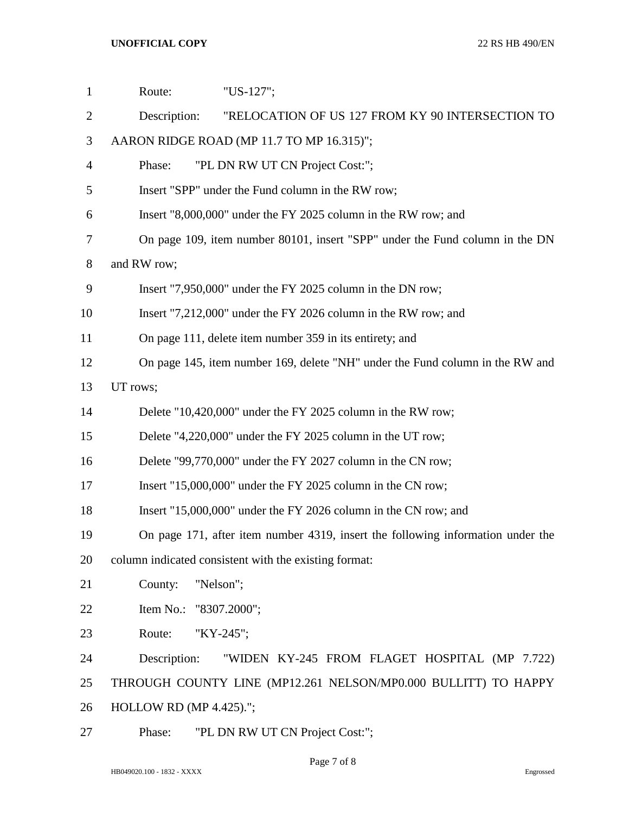| $\mathbf{1}$   | "US-127";<br>Route:                                                             |
|----------------|---------------------------------------------------------------------------------|
| $\overline{2}$ | "RELOCATION OF US 127 FROM KY 90 INTERSECTION TO<br>Description:                |
| 3              | AARON RIDGE ROAD (MP 11.7 TO MP 16.315)";                                       |
| $\overline{4}$ | "PL DN RW UT CN Project Cost:";<br>Phase:                                       |
| 5              | Insert "SPP" under the Fund column in the RW row;                               |
| 6              | Insert "8,000,000" under the FY 2025 column in the RW row; and                  |
| 7              | On page 109, item number 80101, insert "SPP" under the Fund column in the DN    |
| 8              | and RW row;                                                                     |
| 9              | Insert "7,950,000" under the FY 2025 column in the DN row;                      |
| 10             | Insert "7,212,000" under the FY 2026 column in the RW row; and                  |
| 11             | On page 111, delete item number 359 in its entirety; and                        |
| 12             | On page 145, item number 169, delete "NH" under the Fund column in the RW and   |
| 13             | UT rows;                                                                        |
| 14             | Delete "10,420,000" under the FY 2025 column in the RW row;                     |
| 15             | Delete "4,220,000" under the FY 2025 column in the UT row;                      |
| 16             | Delete "99,770,000" under the FY 2027 column in the CN row;                     |
| 17             | Insert "15,000,000" under the FY 2025 column in the CN row;                     |
| 18             | Insert "15,000,000" under the FY 2026 column in the CN row; and                 |
| 19             | On page 171, after item number 4319, insert the following information under the |
| 20             | column indicated consistent with the existing format:                           |
| 21             | County:<br>"Nelson";                                                            |
| 22             | Item No.: "8307.2000";                                                          |
| 23             | Route:<br>"KY-245";                                                             |
| 24             | Description:<br>"WIDEN KY-245 FROM FLAGET HOSPITAL (MP 7.722)                   |
| 25             | THROUGH COUNTY LINE (MP12.261 NELSON/MP0.000 BULLITT) TO HAPPY                  |
| 26             | HOLLOW RD (MP 4.425).";                                                         |
| 27             | Phase:<br>"PL DN RW UT CN Project Cost:";                                       |